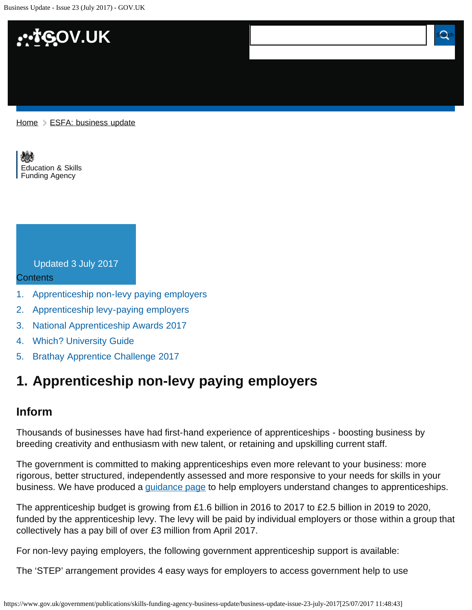

[Education & Skills](https://www.gov.uk/government/organisations/education-and-skills-funding-agency)  [Funding Agency](https://www.gov.uk/government/organisations/education-and-skills-funding-agency)

### Updated 3 July 2017

#### Contents

- [1.](#page-0-0) [Apprenticeship non-levy paying employers](#page-0-0)
- [2.](#page-1-0) [Apprenticeship levy-paying employers](#page-1-0)
- [3.](#page-2-0) [National Apprenticeship Awards 2017](#page-2-0)
- [4.](#page-2-1) [Which? University Guide](#page-2-1)
- [5.](#page-2-2) [Brathay Apprentice Challenge 2017](#page-2-2)

## <span id="page-0-0"></span>**1. Apprenticeship non-levy paying employers**

**Business Update - Issue 23 (July 2017)**

#### **Inform**

Thousands of businesses have had first-hand experience of apprenticeships - boosting business by breeding creativity and enthusiasm with new talent, or retaining and upskilling current staff.

The government is committed to making apprenticeships even more relevant to your business: more rigorous, better structured, independently assessed and more responsive to your needs for skills in your business. We have produced a [guidance page](https://www.gov.uk/guidance/employing-an-apprentice-technical-guide-for-employers) to help employers understand changes to apprenticeships.

The apprenticeship budget is growing from £1.6 billion in 2016 to 2017 to £2.5 billion in 2019 to 2020, funded by the apprenticeship levy. The levy will be paid by individual employers or those within a group that collectively has a pay bill of over £3 million from April 2017.

For non-levy paying employers, the following government apprenticeship support is available:

The 'STEP' arrangement provides 4 easy ways for employers to access government help to use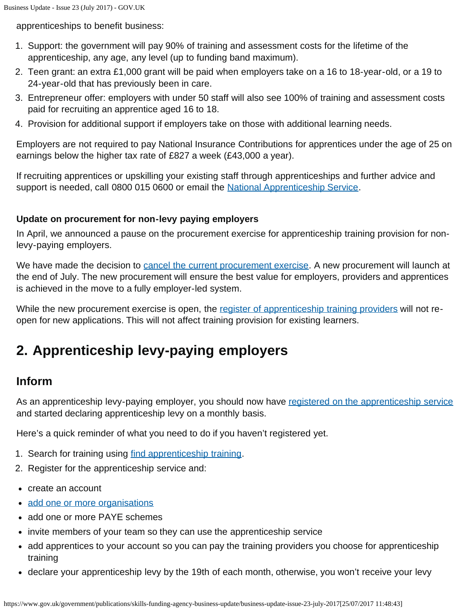apprenticeships to benefit business:

- 1. Support: the government will pay 90% of training and assessment costs for the lifetime of the apprenticeship, any age, any level (up to funding band maximum).
- 2. Teen grant: an extra £1,000 grant will be paid when employers take on a 16 to 18-year-old, or a 19 to 24-year-old that has previously been in care.
- 3. Entrepreneur offer: employers with under 50 staff will also see 100% of training and assessment costs paid for recruiting an apprentice aged 16 to 18.
- 4. Provision for additional support if employers take on those with additional learning needs.

Employers are not required to pay National Insurance Contributions for apprentices under the age of 25 on earnings below the higher tax rate of £827 a week (£43,000 a year).

If recruiting apprentices or upskilling your existing staff through apprenticeships and further advice and support is needed, call 0800 015 0600 or email the [National Apprenticeship Service](mailto:nationalhelpdesk@apprenticeships.gov.uk).

#### **Update on procurement for non-levy paying employers**

In April, we announced a pause on the procurement exercise for apprenticeship training provision for nonlevy-paying employers.

We have made the decision to [cancel the current procurement exercise.](https://www.gov.uk/government/news/update-on-procurement-for-non-levy-paying-employers) A new procurement will launch at the end of July. The new procurement will ensure the best value for employers, providers and apprentices is achieved in the move to a fully employer-led system.

While the new procurement exercise is open, the [register of apprenticeship training providers](https://www.gov.uk/guidance/register-of-apprenticeship-training-providers) will not reopen for new applications. This will not affect training provision for existing learners.

# <span id="page-1-0"></span>**2. Apprenticeship levy-paying employers**

### **Inform**

As an apprenticeship levy-paying employer, you should now have [registered on the apprenticeship service](https://www.gov.uk/guidance/manage-apprenticeship-funds) and started declaring apprenticeship levy on a monthly basis.

Here's a quick reminder of what you need to do if you haven't registered yet.

- 1. Search for training using [find apprenticeship training.](https://findapprenticeshiptraining.sfa.bis.gov.uk/Apprenticeship/Search)
- 2. Register for the apprenticeship service and:
- create an account
- [add one or more organisations](https://www.gov.uk/guidance/manage-apprenticeship-funds#registering-multiple-connected-organisations)
- add one or more PAYE schemes
- invite members of your team so they can use the apprenticeship service
- add apprentices to your account so you can pay the training providers you choose for apprenticeship training
- declare your apprenticeship levy by the 19th of each month, otherwise, you won't receive your levy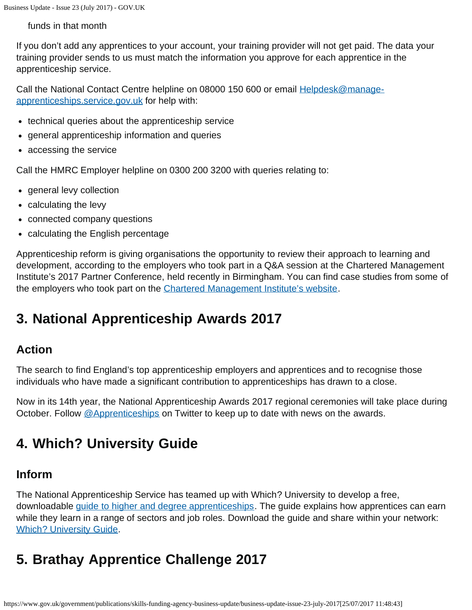funds in that month

If you don't add any apprentices to your account, your training provider will not get paid. The data your training provider sends to us must match the information you approve for each apprentice in the apprenticeship service.

Call the National Contact Centre helpline on 08000 150 600 or email [Helpdesk@manage](mailto:Helpdesk@manage-apprenticeships.service.gov.uk)[apprenticeships.service.gov.uk](mailto:Helpdesk@manage-apprenticeships.service.gov.uk) for help with:

- technical queries about the apprenticeship service
- general apprenticeship information and queries
- accessing the service

Call the HMRC Employer helpline on 0300 200 3200 with queries relating to:

- general levy collection
- calculating the levy
- connected company questions
- calculating the English percentage

Apprenticeship reform is giving organisations the opportunity to review their approach to learning and development, according to the employers who took part in a Q&A session at the Chartered Management Institute's 2017 Partner Conference, held recently in Birmingham. You can find case studies from some of the employers who took part on the [Chartered Management Institute's website.](http://www.managers.org.uk/insights/news/2017/june/three-case-studies-of-how-the-apprenticeship-levy-will-help-employers)

## <span id="page-2-0"></span>**3. National Apprenticeship Awards 2017**

### **Action**

The search to find England's top apprenticeship employers and apprentices and to recognise those individuals who have made a significant contribution to apprenticeships has drawn to a close.

Now in its 14th year, the National Apprenticeship Awards 2017 regional ceremonies will take place during October. Follow [@Apprenticeships](https://twitter.com/Apprenticeships?ref_src=twsrc%5Egoogle%7Ctwcamp%5Eserp%7Ctwgr%5Eauthor) on Twitter to keep up to date with news on the awards.

## <span id="page-2-1"></span>**4. Which? University Guide**

### **Inform**

The National Apprenticeship Service has teamed up with Which? University to develop a free, downloadable [guide to higher and degree apprenticeships.](http://dtmw9u23bb9ya.cloudfront.net/system/file_assets/attachments/4/Higher_and_degree_apprenticeships_-_NAS___Which_Uni_-_Web.pdf) The guide explains how apprentices can earn while they learn in a range of sectors and job roles. Download the guide and share within your network: [Which? University Guide](http://university.which.co.uk/advice/choosing-a-course/is-a-higher-or-degree-apprenticeship-really-right-for-you).

# <span id="page-2-2"></span>**5. Brathay Apprentice Challenge 2017**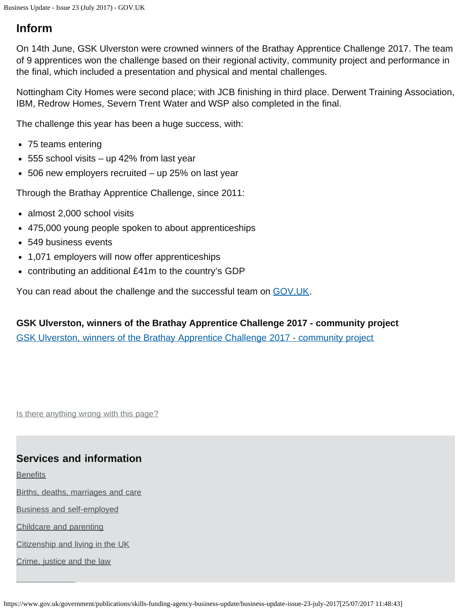### **Inform**

On 14th June, GSK Ulverston were crowned winners of the Brathay Apprentice Challenge 2017. The team of 9 apprentices won the challenge based on their regional activity, community project and performance in the final, which included a presentation and physical and mental challenges.

Nottingham City Homes were second place; with JCB finishing in third place. Derwent Training Association, IBM, Redrow Homes, Severn Trent Water and WSP also completed in the final.

The challenge this year has been a huge success, with:

- 75 teams entering
- 555 school visits up 42% from last year
- 506 new employers recruited up 25% on last year

Through the Brathay Apprentice Challenge, since 2011:

- almost 2,000 school visits
- 475,000 young people spoken to about apprenticeships
- 549 business events
- 1,071 employers will now offer apprenticeships
- contributing an additional £41m to the country's GDP

You can read about the challenge and the successful team on [GOV.UK](https://www.gov.uk/government/news/gsk-crowned-apprentice-team-of-the-year).

**GSK Ulverston, winners of the Brathay Apprentice Challenge 2017 - community project** [GSK Ulverston, winners of the Brathay Apprentice Challenge 2017 - community project](https://www.youtube.com/watch?v=K8IsXhRIcGM)

Is there anything wrong with this page?

#### **Services and information**

**[Benefits](https://www.gov.uk/browse/benefits)** 

[Births, deaths, marriages and care](https://www.gov.uk/browse/births-deaths-marriages)

[Business and self-employed](https://www.gov.uk/browse/business)

[Childcare and parenting](https://www.gov.uk/browse/childcare-parenting)

[Citizenship and living in the UK](https://www.gov.uk/browse/citizenship)

[Crime, justice and the law](https://www.gov.uk/browse/justice)